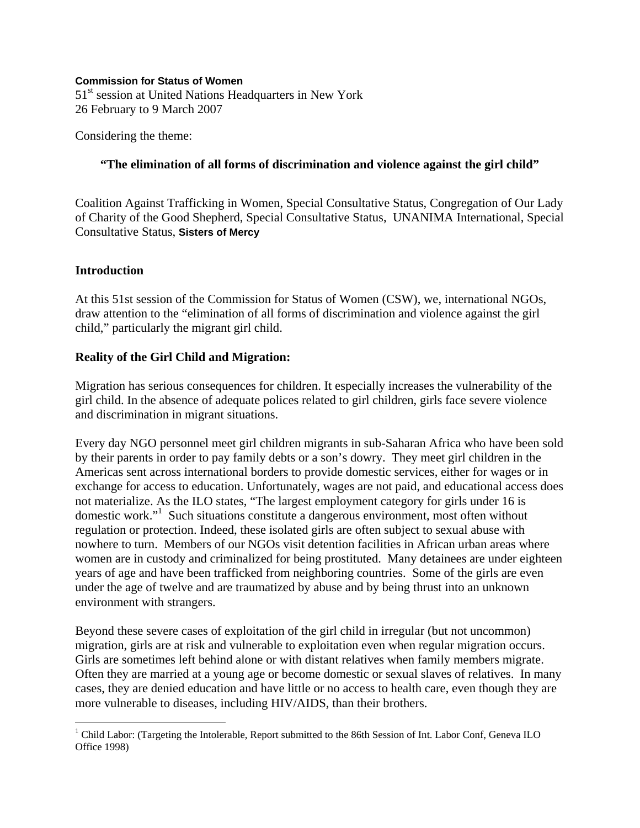#### **Commission for Status of Women**

51<sup>st</sup> session at United Nations Headquarters in New York 26 February to 9 March 2007

Considering the theme:

#### **"The elimination of all forms of discrimination and violence against the girl child"**

Coalition Against Trafficking in Women, Special Consultative Status, Congregation of Our Lady of Charity of the Good Shepherd, Special Consultative Status, UNANIMA International, Special Consultative Status, **Sisters of Mercy** 

# **Introduction**

 $\overline{a}$ 

At this 51st session of the Commission for Status of Women (CSW), we, international NGOs, draw attention to the "elimination of all forms of discrimination and violence against the girl child," particularly the migrant girl child.

# **Reality of the Girl Child and Migration:**

Migration has serious consequences for children. It especially increases the vulnerability of the girl child. In the absence of adequate polices related to girl children, girls face severe violence and discrimination in migrant situations.

Every day NGO personnel meet girl children migrants in sub-Saharan Africa who have been sold by their parents in order to pay family debts or a son's dowry. They meet girl children in the Americas sent across international borders to provide domestic services, either for wages or in exchange for access to education. Unfortunately, wages are not paid, and educational access does not materialize. As the ILO states, "The largest employment category for girls under 16 is domestic work."1 Such situations constitute a dangerous environment, most often without regulation or protection. Indeed, these isolated girls are often subject to sexual abuse with nowhere to turn. Members of our NGOs visit detention facilities in African urban areas where women are in custody and criminalized for being prostituted. Many detainees are under eighteen years of age and have been trafficked from neighboring countries. Some of the girls are even under the age of twelve and are traumatized by abuse and by being thrust into an unknown environment with strangers.

Beyond these severe cases of exploitation of the girl child in irregular (but not uncommon) migration, girls are at risk and vulnerable to exploitation even when regular migration occurs. Girls are sometimes left behind alone or with distant relatives when family members migrate. Often they are married at a young age or become domestic or sexual slaves of relatives. In many cases, they are denied education and have little or no access to health care, even though they are more vulnerable to diseases, including HIV/AIDS, than their brothers.

<sup>&</sup>lt;sup>1</sup> Child Labor: (Targeting the Intolerable, Report submitted to the 86th Session of Int. Labor Conf, Geneva ILO Office 1998)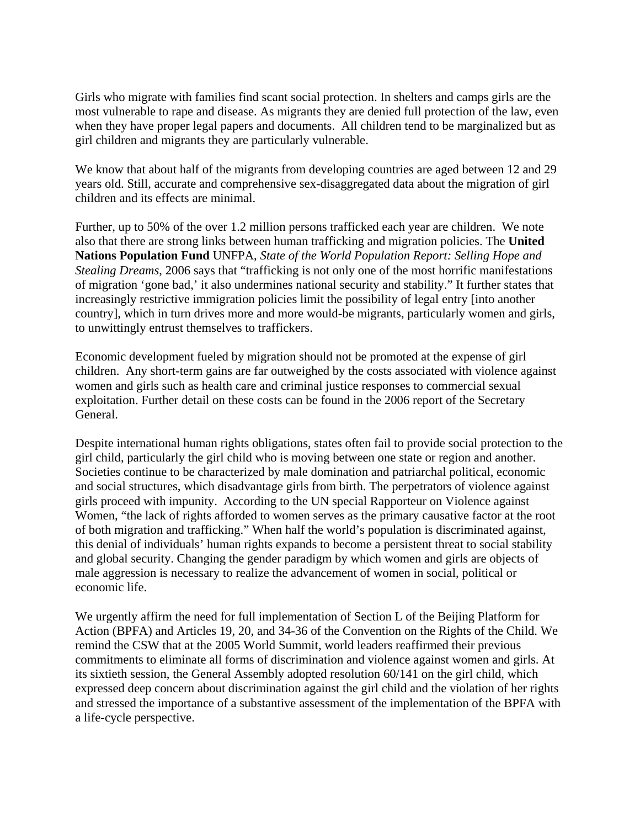Girls who migrate with families find scant social protection. In shelters and camps girls are the most vulnerable to rape and disease. As migrants they are denied full protection of the law, even when they have proper legal papers and documents. All children tend to be marginalized but as girl children and migrants they are particularly vulnerable.

We know that about half of the migrants from developing countries are aged between 12 and 29 years old. Still, accurate and comprehensive sex-disaggregated data about the migration of girl children and its effects are minimal.

Further, up to 50% of the over 1.2 million persons trafficked each year are children. We note also that there are strong links between human trafficking and migration policies. The **United Nations Population Fund** UNFPA, *State of the World Population Report: Selling Hope and Stealing Dreams*, 2006 says that "trafficking is not only one of the most horrific manifestations of migration 'gone bad,' it also undermines national security and stability." It further states that increasingly restrictive immigration policies limit the possibility of legal entry [into another country], which in turn drives more and more would-be migrants, particularly women and girls, to unwittingly entrust themselves to traffickers.

Economic development fueled by migration should not be promoted at the expense of girl children. Any short-term gains are far outweighed by the costs associated with violence against women and girls such as health care and criminal justice responses to commercial sexual exploitation. Further detail on these costs can be found in the 2006 report of the Secretary General.

Despite international human rights obligations, states often fail to provide social protection to the girl child, particularly the girl child who is moving between one state or region and another. Societies continue to be characterized by male domination and patriarchal political, economic and social structures, which disadvantage girls from birth. The perpetrators of violence against girls proceed with impunity. According to the UN special Rapporteur on Violence against Women, "the lack of rights afforded to women serves as the primary causative factor at the root of both migration and trafficking." When half the world's population is discriminated against, this denial of individuals' human rights expands to become a persistent threat to social stability and global security. Changing the gender paradigm by which women and girls are objects of male aggression is necessary to realize the advancement of women in social, political or economic life.

We urgently affirm the need for full implementation of Section L of the Beijing Platform for Action (BPFA) and Articles 19, 20, and 34-36 of the Convention on the Rights of the Child. We remind the CSW that at the 2005 World Summit, world leaders reaffirmed their previous commitments to eliminate all forms of discrimination and violence against women and girls. At its sixtieth session, the General Assembly adopted resolution 60/141 on the girl child, which expressed deep concern about discrimination against the girl child and the violation of her rights and stressed the importance of a substantive assessment of the implementation of the BPFA with a life-cycle perspective.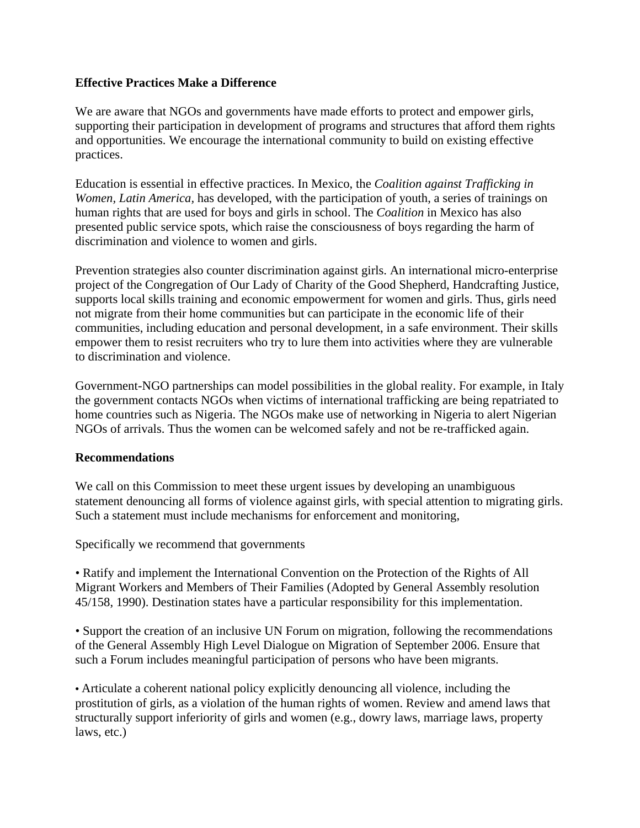# **Effective Practices Make a Difference**

We are aware that NGOs and governments have made efforts to protect and empower girls, supporting their participation in development of programs and structures that afford them rights and opportunities. We encourage the international community to build on existing effective practices.

Education is essential in effective practices. In Mexico, the *Coalition against Trafficking in Women, Latin America,* has developed, with the participation of youth, a series of trainings on human rights that are used for boys and girls in school. The *Coalition* in Mexico has also presented public service spots, which raise the consciousness of boys regarding the harm of discrimination and violence to women and girls.

Prevention strategies also counter discrimination against girls. An international micro-enterprise project of the Congregation of Our Lady of Charity of the Good Shepherd, Handcrafting Justice, supports local skills training and economic empowerment for women and girls. Thus, girls need not migrate from their home communities but can participate in the economic life of their communities, including education and personal development, in a safe environment. Their skills empower them to resist recruiters who try to lure them into activities where they are vulnerable to discrimination and violence.

Government-NGO partnerships can model possibilities in the global reality. For example, in Italy the government contacts NGOs when victims of international trafficking are being repatriated to home countries such as Nigeria. The NGOs make use of networking in Nigeria to alert Nigerian NGOs of arrivals. Thus the women can be welcomed safely and not be re-trafficked again.

#### **Recommendations**

We call on this Commission to meet these urgent issues by developing an unambiguous statement denouncing all forms of violence against girls, with special attention to migrating girls. Such a statement must include mechanisms for enforcement and monitoring,

Specifically we recommend that governments

*•* Ratify and implement the International Convention on the Protection of the Rights of All Migrant Workers and Members of Their Families (Adopted by General Assembly resolution 45/158, 1990). Destination states have a particular responsibility for this implementation.

*•* Support the creation of an inclusive UN Forum on migration, following the recommendations of the General Assembly High Level Dialogue on Migration of September 2006. Ensure that such a Forum includes meaningful participation of persons who have been migrants.

*•* Articulate a coherent national policy explicitly denouncing all violence, including the prostitution of girls, as a violation of the human rights of women. Review and amend laws that structurally support inferiority of girls and women (e.g., dowry laws, marriage laws, property laws, etc.)